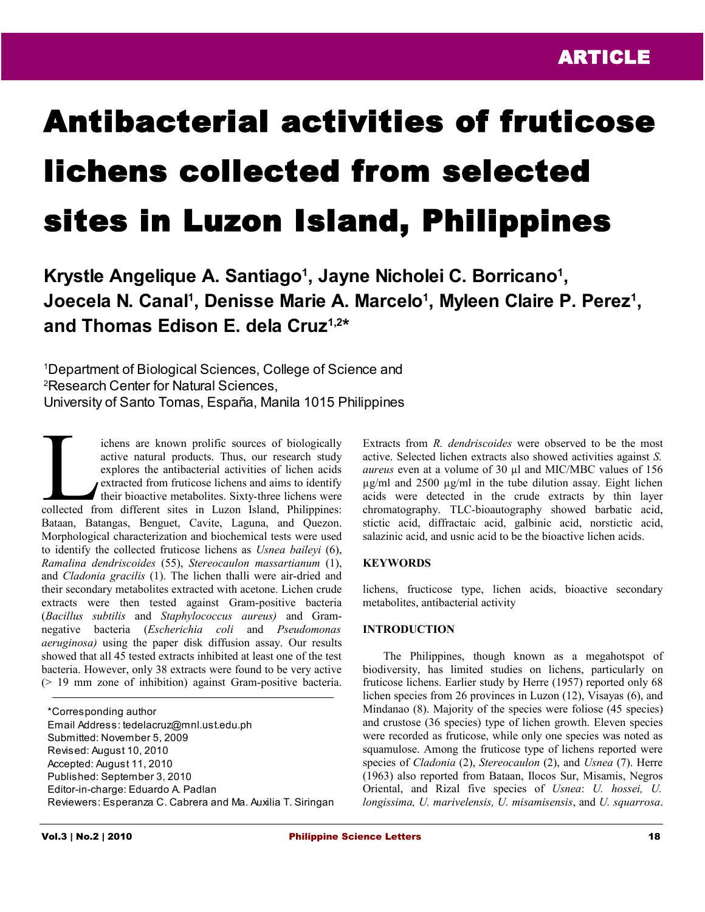# Antibacterial activities of fruticose lichens collected from selected sites in Luzon Island, Philippines

**Krystle Angelique A. Santiago<sup>1</sup> , Jayne Nicholei C. Borricano<sup>1</sup> ,** Joecela N. Canal<sup>1</sup>, Denisse Marie A. Marcelo<sup>1</sup>, Myleen Claire P. Perez<sup>1</sup>, **and Thomas Edison E. dela Cruz1,2 \***

<sup>1</sup>Department of Biological Sciences, College of Science and <sup>2</sup>Research Center for Natural Sciences, University of Santo Tomas, España, Manila 1015 Philippines

ichens are known prolific sources of biologically active natural products. Thus, our research study explores the antibacterial activities of lichen acids extracted from fruticose lichens and aims to identify **their bioactive metabolites.** Sixty-three lichens were ichens are known prolific sources of biologically<br>active natural products. Thus, our research study<br>explores the antibacterial activities of lichen acids<br>extracted from fruticose lichens and aims to identify<br>their bioactiv Bataan, Batangas, Benguet, Cavite, Laguna, and Quezon. Morphological characterization and biochemical tests were used to identify the collected fruticose lichens as *Usnea baileyi* (6), *Ramalina dendriscoides* (55), *Stereocaulon massartianum* (1), and *Cladonia gracilis* (1). The lichen thalli were air-dried and their secondary metabolites extracted with acetone. Lichen crude extracts were then tested against Gram-positive bacteria (*Bacillus subtilis* and *Staphylococcus aureus)* and Gramnegative bacteria (*Escherichia coli* and *Pseudomonas aeruginosa)* using the paper disk diffusion assay. Our results showed that all 45 tested extracts inhibited at least one of the test bacteria. However, only 38 extracts were found to be very active (> 19 mm zone of inhibition) against Gram-positive bacteria.

\*Corresponding author Email Address: tedelacruz@mnl.ust.edu.ph Submitted: November 5, 2009 Revised: August 10, 2010 Accepted: August 11, 2010 Published: September 3, 2010 Editor-in-charge: Eduardo A. Padlan Reviewers: Esperanza C. Cabrera and Ma. Auxilia T. Siringan Extracts from *R. dendriscoides* were observed to be the most active. Selected lichen extracts also showed activities against *S. aureus* even at a volume of 30 µl and MIC/MBC values of 156 µg/ml and 2500 µg/ml in the tube dilution assay. Eight lichen acids were detected in the crude extracts by thin layer chromatography. TLC-bioautography showed barbatic acid, stictic acid, diffractaic acid, galbinic acid, norstictic acid, salazinic acid, and usnic acid to be the bioactive lichen acids.

## **KEYWORDS**

lichens, fructicose type, lichen acids, bioactive secondary metabolites, antibacterial activity

#### **INTRODUCTION**

The Philippines, though known as a megahotspot of biodiversity, has limited studies on lichens, particularly on fruticose lichens. Earlier study by Herre (1957) reported only 68 lichen species from 26 provinces in Luzon (12), Visayas (6), and Mindanao (8). Majority of the species were foliose (45 species) and crustose (36 species) type of lichen growth. Eleven species were recorded as fruticose, while only one species was noted as squamulose. Among the fruticose type of lichens reported were species of *Cladonia* (2), *Stereocaulon* (2), and *Usnea* (7). Herre (1963) also reported from Bataan, Ilocos Sur, Misamis, Negros Oriental, and Rizal five species of *Usnea*: *U. hossei, U. longissima, U. marivelensis, U. misamisensis*, and *U. squarrosa*.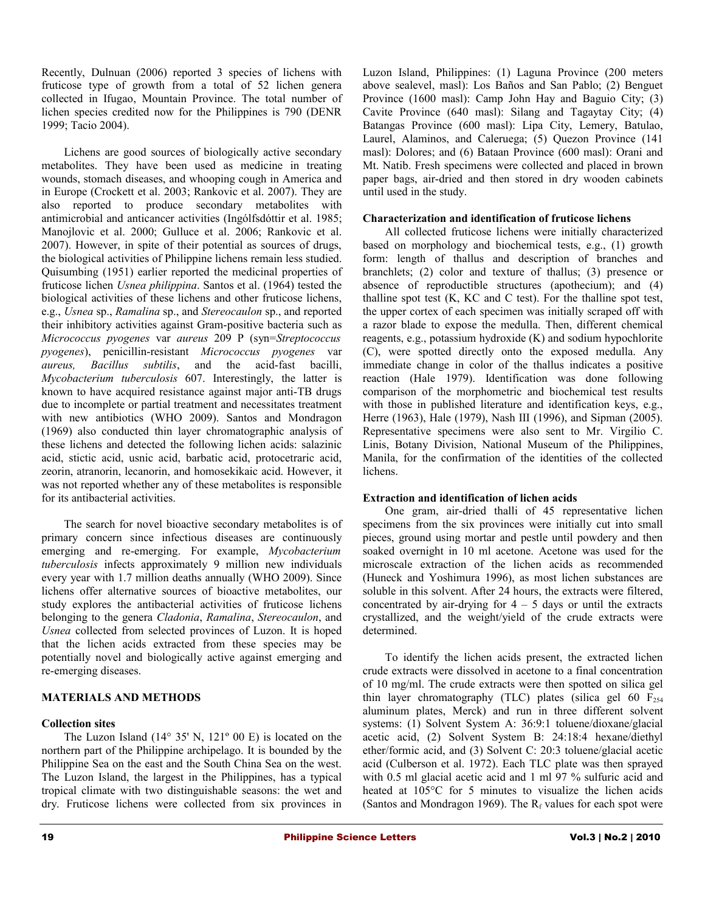Recently, Dulnuan (2006) reported 3 species of lichens with fruticose type of growth from a total of 52 lichen genera collected in Ifugao, Mountain Province. The total number of lichen species credited now for the Philippines is 790 (DENR 1999; Tacio 2004).

Lichens are good sources of biologically active secondary metabolites. They have been used as medicine in treating wounds, stomach diseases, and whooping cough in America and in Europe (Crockett et al. 2003; Rankovic et al. 2007). They are also reported to produce secondary metabolites with antimicrobial and anticancer activities (Ingólfsdóttir et al. 1985; Manojlovic et al. 2000; Gulluce et al. 2006; Rankovic et al. 2007). However, in spite of their potential as sources of drugs, the biological activities of Philippine lichens remain less studied. Quisumbing (1951) earlier reported the medicinal properties of fruticose lichen *Usnea philippina*. Santos et al. (1964) tested the biological activities of these lichens and other fruticose lichens, e.g., *Usnea* sp., *Ramalina* sp., and *Stereocaulon* sp., and reported their inhibitory activities against Gram-positive bacteria such as *Micrococcus pyogenes* var *aureus* 209 P (syn=*Streptococcus pyogenes*), penicillin-resistant *Micrococcus pyogenes* var *aureus, Bacillus subtilis*, and the acid-fast bacilli, *Mycobacterium tuberculosis* 607. Interestingly, the latter is known to have acquired resistance against major anti-TB drugs due to incomplete or partial treatment and necessitates treatment with new antibiotics (WHO 2009). Santos and Mondragon (1969) also conducted thin layer chromatographic analysis of these lichens and detected the following lichen acids: salazinic acid, stictic acid, usnic acid, barbatic acid, protocetraric acid, zeorin, atranorin, lecanorin, and homosekikaic acid. However, it was not reported whether any of these metabolites is responsible for its antibacterial activities.

The search for novel bioactive secondary metabolites is of primary concern since infectious diseases are continuously emerging and re-emerging. For example, *Mycobacterium tuberculosis* infects approximately 9 million new individuals every year with 1.7 million deaths annually (WHO 2009). Since lichens offer alternative sources of bioactive metabolites, our study explores the antibacterial activities of fruticose lichens belonging to the genera *Cladonia*, *Ramalina*, *Stereocaulon*, and *Usnea* collected from selected provinces of Luzon. It is hoped that the lichen acids extracted from these species may be potentially novel and biologically active against emerging and re-emerging diseases.

# **MATERIALS AND METHODS**

## **Collection sites**

The Luzon Island  $(14^{\circ} 35' N, 121^{\circ} 00 E)$  is located on the northern part of the Philippine archipelago. It is bounded by the Philippine Sea on the east and the South China Sea on the west. The Luzon Island, the largest in the Philippines, has a typical tropical climate with two distinguishable seasons: the wet and dry. Fruticose lichens were collected from six provinces in

Luzon Island, Philippines: (1) Laguna Province (200 meters above sealevel, masl): Los Baños and San Pablo; (2) Benguet Province (1600 masl): Camp John Hay and Baguio City; (3) Cavite Province (640 masl): Silang and Tagaytay City; (4) Batangas Province (600 masl): Lipa City, Lemery, Batulao, Laurel, Alaminos, and Caleruega; (5) Quezon Province (141 masl): Dolores; and (6) Bataan Province (600 masl): Orani and Mt. Natib. Fresh specimens were collected and placed in brown paper bags, air-dried and then stored in dry wooden cabinets until used in the study.

#### **Characterization and identification of fruticose lichens**

All collected fruticose lichens were initially characterized based on morphology and biochemical tests, e.g., (1) growth form: length of thallus and description of branches and branchlets; (2) color and texture of thallus; (3) presence or absence of reproductible structures (apothecium); and (4) thalline spot test (K, KC and C test). For the thalline spot test, the upper cortex of each specimen was initially scraped off with a razor blade to expose the medulla. Then, different chemical reagents, e.g., potassium hydroxide (K) and sodium hypochlorite (C), were spotted directly onto the exposed medulla. Any immediate change in color of the thallus indicates a positive reaction (Hale 1979). Identification was done following comparison of the morphometric and biochemical test results with those in published literature and identification keys, e.g., Herre (1963), Hale (1979), Nash III (1996), and Sipman (2005). Representative specimens were also sent to Mr. Virgilio C. Linis, Botany Division, National Museum of the Philippines, Manila, for the confirmation of the identities of the collected lichens.

#### **Extraction and identification of lichen acids**

One gram, air-dried thalli of 45 representative lichen specimens from the six provinces were initially cut into small pieces, ground using mortar and pestle until powdery and then soaked overnight in 10 ml acetone. Acetone was used for the microscale extraction of the lichen acids as recommended (Huneck and Yoshimura 1996), as most lichen substances are soluble in this solvent. After 24 hours, the extracts were filtered, concentrated by air-drying for  $4 - 5$  days or until the extracts crystallized, and the weight/yield of the crude extracts were determined.

To identify the lichen acids present, the extracted lichen crude extracts were dissolved in acetone to a final concentration of 10 mg/ml. The crude extracts were then spotted on silica gel thin layer chromatography (TLC) plates (silica gel 60  $F<sub>254</sub>$ aluminum plates, Merck) and run in three different solvent systems: (1) Solvent System A: 36:9:1 toluene/dioxane/glacial acetic acid, (2) Solvent System B: 24:18:4 hexane/diethyl ether/formic acid, and (3) Solvent C: 20:3 toluene/glacial acetic acid (Culberson et al. 1972). Each TLC plate was then sprayed with 0.5 ml glacial acetic acid and 1 ml 97 % sulfuric acid and heated at 105°C for 5 minutes to visualize the lichen acids (Santos and Mondragon 1969). The  $R_f$  values for each spot were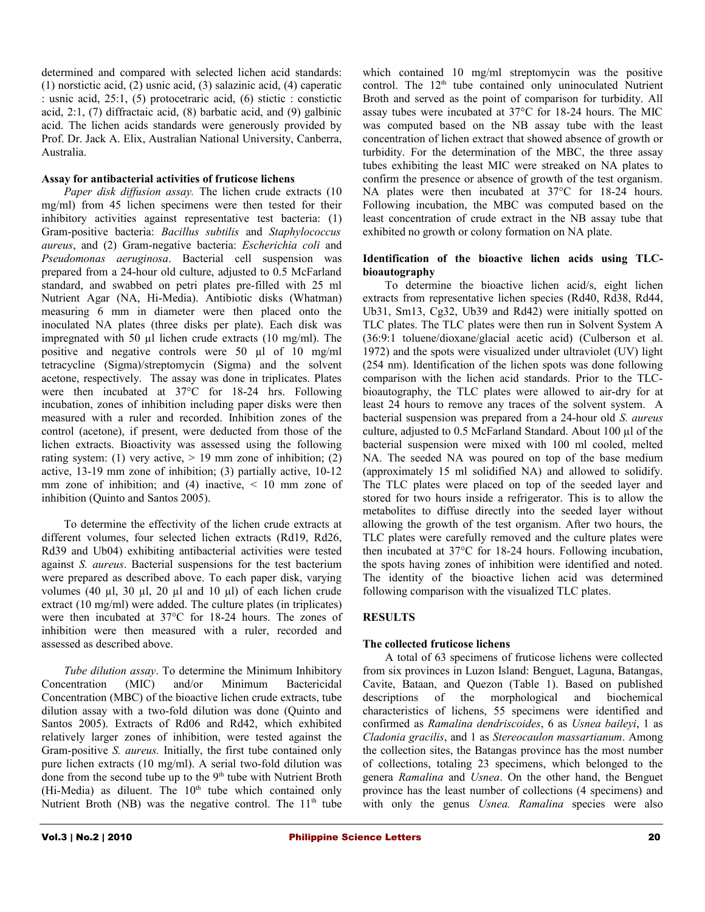determined and compared with selected lichen acid standards: (1) norstictic acid, (2) usnic acid, (3) salazinic acid, (4) caperatic : usnic acid, 25:1, (5) protocetraric acid, (6) stictic : constictic acid, 2:1, (7) diffractaic acid, (8) barbatic acid, and (9) galbinic acid. The lichen acids standards were generously provided by Prof. Dr. Jack A. Elix, Australian National University, Canberra, Australia.

#### **Assay for antibacterial activities of fruticose lichens**

*Paper disk diffusion assay.* The lichen crude extracts (10 mg/ml) from 45 lichen specimens were then tested for their inhibitory activities against representative test bacteria: (1) Gram-positive bacteria: *Bacillus subtilis* and *Staphylococcus aureus*, and (2) Gram-negative bacteria: *Escherichia coli* and *Pseudomonas aeruginosa*. Bacterial cell suspension was prepared from a 24-hour old culture, adjusted to 0.5 McFarland standard, and swabbed on petri plates pre-filled with 25 ml Nutrient Agar (NA, Hi-Media). Antibiotic disks (Whatman) measuring 6 mm in diameter were then placed onto the inoculated NA plates (three disks per plate). Each disk was impregnated with 50 µl lichen crude extracts (10 mg/ml). The positive and negative controls were 50 µl of 10 mg/ml tetracycline (Sigma)/streptomycin (Sigma) and the solvent acetone, respectively. The assay was done in triplicates. Plates were then incubated at 37°C for 18-24 hrs. Following incubation, zones of inhibition including paper disks were then measured with a ruler and recorded. Inhibition zones of the control (acetone), if present, were deducted from those of the lichen extracts. Bioactivity was assessed using the following rating system: (1) very active,  $> 19$  mm zone of inhibition; (2) active, 13-19 mm zone of inhibition; (3) partially active, 10-12 mm zone of inhibition; and (4) inactive,  $\leq 10$  mm zone of inhibition (Quinto and Santos 2005).

To determine the effectivity of the lichen crude extracts at different volumes, four selected lichen extracts (Rd19, Rd26, Rd39 and Ub04) exhibiting antibacterial activities were tested against *S. aureus*. Bacterial suspensions for the test bacterium were prepared as described above. To each paper disk, varying volumes (40  $\mu$ l, 30  $\mu$ l, 20  $\mu$ l and 10  $\mu$ l) of each lichen crude extract (10 mg/ml) were added. The culture plates (in triplicates) were then incubated at 37°C for 18-24 hours. The zones of inhibition were then measured with a ruler, recorded and assessed as described above.

*Tube dilution assay*. To determine the Minimum Inhibitory Concentration (MIC) and/or Minimum Bactericidal Concentration (MBC) of the bioactive lichen crude extracts, tube dilution assay with a two-fold dilution was done (Quinto and Santos 2005). Extracts of Rd06 and Rd42, which exhibited relatively larger zones of inhibition, were tested against the Gram-positive *S. aureus.* Initially, the first tube contained only pure lichen extracts (10 mg/ml). A serial two-fold dilution was done from the second tube up to the  $9<sup>th</sup>$  tube with Nutrient Broth (Hi-Media) as diluent. The 10<sup>th</sup> tube which contained only Nutrient Broth (NB) was the negative control. The  $11<sup>th</sup>$  tube

which contained 10 mg/ml streptomycin was the positive control. The  $12<sup>th</sup>$  tube contained only uninoculated Nutrient Broth and served as the point of comparison for turbidity. All assay tubes were incubated at 37°C for 18-24 hours. The MIC was computed based on the NB assay tube with the least concentration of lichen extract that showed absence of growth or turbidity. For the determination of the MBC, the three assay tubes exhibiting the least MIC were streaked on NA plates to confirm the presence or absence of growth of the test organism. NA plates were then incubated at  $37^{\circ}$ C for 18-24 hours. Following incubation, the MBC was computed based on the least concentration of crude extract in the NB assay tube that exhibited no growth or colony formation on NA plate.

#### **Identification of the bioactive lichen acids using TLCbioautography**

To determine the bioactive lichen acid/s, eight lichen extracts from representative lichen species (Rd40, Rd38, Rd44, Ub31, Sm13, Cg32, Ub39 and Rd42) were initially spotted on TLC plates. The TLC plates were then run in Solvent System A (36:9:1 toluene/dioxane/glacial acetic acid) (Culberson et al. 1972) and the spots were visualized under ultraviolet (UV) light (254 nm). Identification of the lichen spots was done following comparison with the lichen acid standards. Prior to the TLCbioautography, the TLC plates were allowed to air-dry for at least 24 hours to remove any traces of the solvent system. A bacterial suspension was prepared from a 24-hour old *S. aureus* culture, adjusted to 0.5 McFarland Standard. About 100 µl of the bacterial suspension were mixed with 100 ml cooled, melted NA. The seeded NA was poured on top of the base medium (approximately 15 ml solidified NA) and allowed to solidify. The TLC plates were placed on top of the seeded layer and stored for two hours inside a refrigerator. This is to allow the metabolites to diffuse directly into the seeded layer without allowing the growth of the test organism. After two hours, the TLC plates were carefully removed and the culture plates were then incubated at 37°C for 18-24 hours. Following incubation, the spots having zones of inhibition were identified and noted. The identity of the bioactive lichen acid was determined following comparison with the visualized TLC plates.

# **RESULTS**

## **The collected fruticose lichens**

A total of 63 specimens of fruticose lichens were collected from six provinces in Luzon Island: Benguet, Laguna, Batangas, Cavite, Bataan, and Quezon (Table 1). Based on published descriptions of the morphological and biochemical characteristics of lichens, 55 specimens were identified and confirmed as *Ramalina dendriscoides*, 6 as *Usnea baileyi*, 1 as *Cladonia gracilis*, and 1 as *Stereocaulon massartianum*. Among the collection sites, the Batangas province has the most number of collections, totaling 23 specimens, which belonged to the genera *Ramalina* and *Usnea*. On the other hand, the Benguet province has the least number of collections (4 specimens) and with only the genus *Usnea. Ramalina* species were also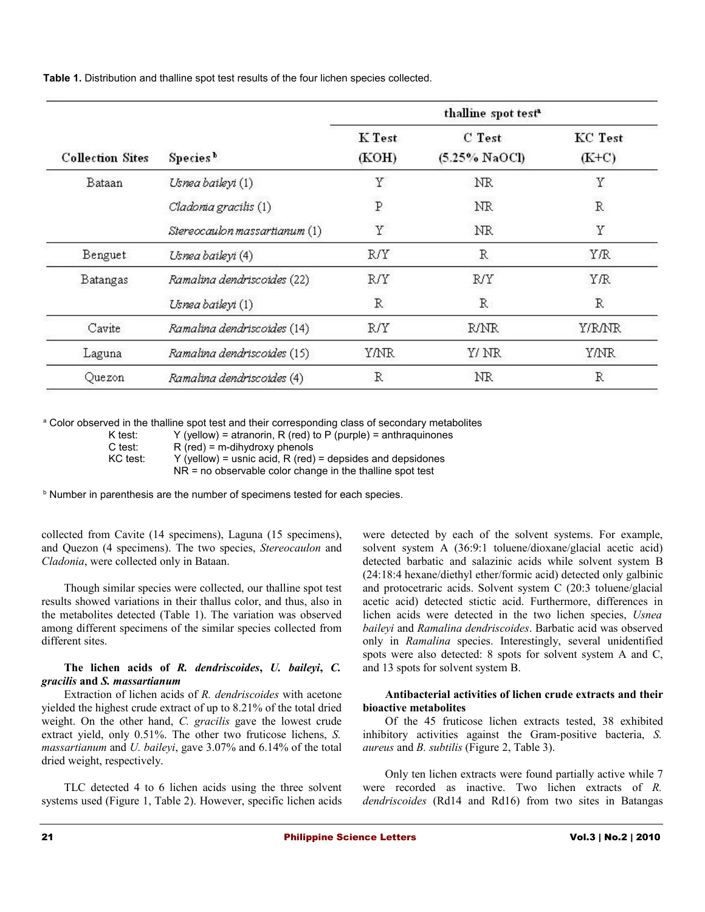**Table 1.** Distribution and thalline spot test results of the four lichen species collected.

|                         |                               | thalline spot test <sup>a</sup> |                            |                           |  |  |
|-------------------------|-------------------------------|---------------------------------|----------------------------|---------------------------|--|--|
| <b>Collection Sites</b> | Species <sup>b</sup>          | K Test<br>(KOH)                 | C Test<br>$(5.25\%$ NaOCI) | <b>KC</b> Test<br>$(K+C)$ |  |  |
| Bataan                  | Usnea baileyi (1)             | Υ                               | <b>NR</b>                  | Υ                         |  |  |
|                         | Cladoria gracilis (1)         | $\, {\bf P}$                    | NR                         | $\mathbb R$               |  |  |
|                         | Stereocaulon massartianum (1) | Υ                               | NR                         | Y                         |  |  |
| Benguet                 | Usnea baileyi (4)             | R/Y                             | R                          | YÆ                        |  |  |
| Batangas                | Ramalina dendriscoides (22)   | R/Y                             | R/Y                        | YÆ                        |  |  |
|                         | Usnea baileyi (1)             | $\mathbb R$                     | $\mathbb{R}$               | $\mathbb R$               |  |  |
| Cavite                  | Ramalina dendriscoides (14)   | R/Y                             | R/NR                       | Y/R/NR                    |  |  |
| Laguna                  | Ramalina dendriscoides (15)   | Y/NR.                           | Y/ NR                      | YANR.                     |  |  |
| Quezon                  | Ramalina dendriscoides (4)    | $\mathbb R$                     | NR                         | $\mathbb R$               |  |  |

<sup>a</sup> Color observed in the thalline spot test and their corresponding class of secondary metabolites

KC test:  $Y$  (yellow) = usnic acid, R (red) = depsides and depsidones

NR = no observable color change in the thalline spot test

<sup>b</sup> Number in parenthesis are the number of specimens tested for each species.

collected from Cavite (14 specimens), Laguna (15 specimens), and Quezon (4 specimens). The two species, *Stereocaulon* and *Cladonia*, were collected only in Bataan.

Though similar species were collected, our thalline spot test results showed variations in their thallus color, and thus, also in the metabolites detected (Table 1). The variation was observed among different specimens of the similar species collected from different sites.

#### **The lichen acids of** *R. dendriscoides***,** *U. baileyi***,** *C. gracilis* **and** *S. massartianum*

Extraction of lichen acids of *R. dendriscoides* with acetone yielded the highest crude extract of up to 8.21% of the total dried weight. On the other hand, *C. gracilis* gave the lowest crude extract yield, only 0.51%. The other two fruticose lichens, *S. massartianum* and *U. baileyi*, gave 3.07% and 6.14% of the total dried weight, respectively.

TLC detected 4 to 6 lichen acids using the three solvent systems used (Figure 1, Table 2). However, specific lichen acids were detected by each of the solvent systems. For example, solvent system A (36:9:1 toluene/dioxane/glacial acetic acid) detected barbatic and salazinic acids while solvent system B (24:18:4 hexane/diethyl ether/formic acid) detected only galbinic and protocetraric acids. Solvent system C (20:3 toluene/glacial acetic acid) detected stictic acid. Furthermore, differences in lichen acids were detected in the two lichen species, *Usnea baileyi* and *Ramalina dendriscoides*. Barbatic acid was observed only in *Ramalina* species. Interestingly, several unidentified spots were also detected: 8 spots for solvent system A and C, and 13 spots for solvent system B.

#### **Antibacterial activities of lichen crude extracts and their bioactive metabolites**

Of the 45 fruticose lichen extracts tested, 38 exhibited inhibitory activities against the Gram-positive bacteria, *S. aureus* and *B. subtilis* (Figure 2, Table 3).

Only ten lichen extracts were found partially active while 7 were recorded as inactive. Two lichen extracts of *R. dendriscoides* (Rd14 and Rd16) from two sites in Batangas

K test:  $Y$  (yellow) = atranorin, R (red) to P (purple) = anthraquinones

C test:  $R$  (red) = m-dihydroxy phenols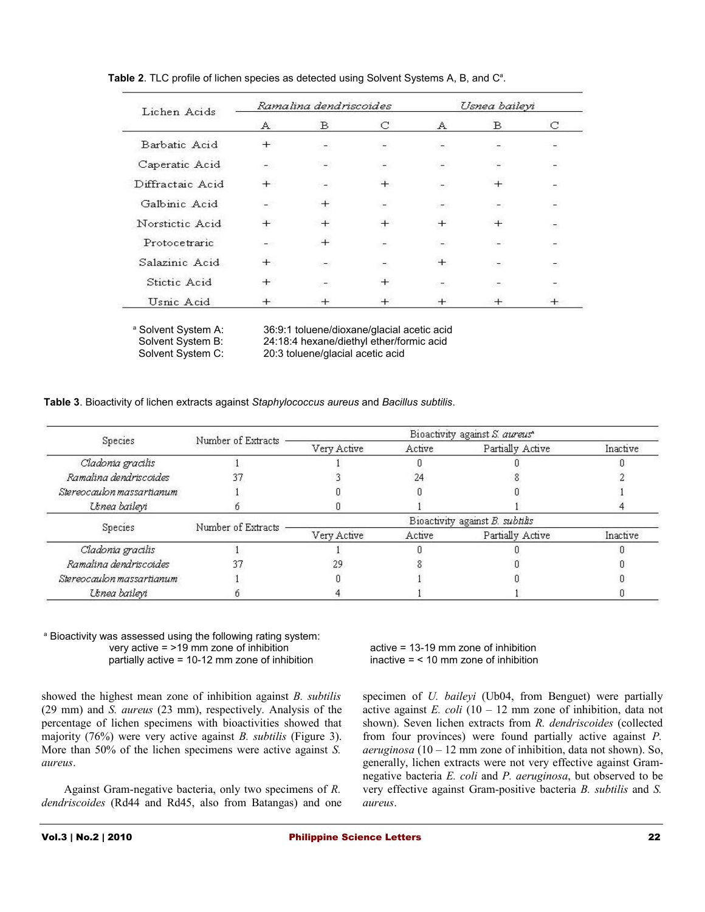| Lichen Acids     | Ramalina dendriscoides |                          |        | Usnea baileyi                 |        |        |
|------------------|------------------------|--------------------------|--------|-------------------------------|--------|--------|
|                  | $\mathbb{A}$           | B                        | С      | А                             | B      | С      |
| Barbatic Acid    | $^{+}$                 |                          |        | ā.                            |        |        |
| Caperatic Acid   |                        |                          |        |                               |        |        |
| Diffractaic Acid | $+$                    | $\overline{\phantom{a}}$ | $+$    | $-1$                          | $+$    |        |
| Galbinic Acid    |                        | $^{+}$                   |        | $\langle \frac{1}{2} \rangle$ | ಾ      |        |
| Norstictic Acid  | $^{+}$                 | $^{+}$                   | $^{+}$ | $^{+}$                        | $^{+}$ |        |
| Protocetraric    |                        | $^{+}$                   |        |                               |        |        |
| Salazinic Acid   | $+$                    | -                        | -      | $+$                           | $\sim$ |        |
| Stictic Acid     | $+$                    | ಜನ                       | $^{+}$ | ಕ್ಯ                           | ಜನ     | ÷.     |
| Usnic Acid       | $^{+}$                 | $^{+}$                   | $^{+}$ | $^{+}$                        |        | $^{+}$ |

Table 2. TLC profile of lichen species as detected using Solvent Systems A, B, and C<sup>a</sup>.

<sup>a</sup> Solvent System A:

Solvent System A: 36:9:1 toluene/dioxane/glacial acetic acid<br>Solvent System B: 24:18:4 hexane/diethyl ether/formic acid Solvent System B: 24:18:4 hexane/diethyl ether/formic acid<br>Solvent System C: 20:3 toluene/glacial acetic acid 20:3 toluene/glacial acetic acid

**Table 3**. Bioactivity of lichen extracts against *Staphylococcus aureus* and *Bacillus subtilis*.

|                           | Number of Extracts | Bioactivity against S. aureus*  |        |                  |          |  |
|---------------------------|--------------------|---------------------------------|--------|------------------|----------|--|
| Species                   |                    | Very Active                     | Active | Partially Active | Inactive |  |
| Cladonia gracilis         |                    |                                 |        |                  |          |  |
| Ramalina dendriscoides    |                    |                                 | 24     |                  |          |  |
| Stereocaulon massartianum |                    |                                 |        |                  |          |  |
| Usnea baileyi             |                    |                                 |        |                  |          |  |
| Species                   | Number of Extracts | Bioactivity against B. subtilis |        |                  |          |  |
|                           |                    | Very Active                     | Active | Partially Active | Inactive |  |
| Cladonia gracilis         |                    |                                 |        |                  |          |  |
| Ramalina dendriscoides    |                    |                                 |        |                  |          |  |
| Stereocaulon massartianum |                    |                                 |        |                  |          |  |
| Usnea baileyi             |                    |                                 |        |                  |          |  |

#### <sup>a</sup> Bioactivity was assessed using the following rating system: very active = >19 mm zone of inhibition active = 13-19 mm zone of inhibition partially active = 10-12 mm zone of inhibition inactive = < 10 mm zone of inhibition

showed the highest mean zone of inhibition against *B. subtilis* (29 mm) and *S. aureus* (23 mm), respectively. Analysis of the percentage of lichen specimens with bioactivities showed that majority (76%) were very active against *B. subtilis* (Figure 3). More than 50% of the lichen specimens were active against *S. aureus*.

Against Gram-negative bacteria, only two specimens of *R. dendriscoides* (Rd44 and Rd45, also from Batangas) and one

specimen of *U. baileyi* (Ub04, from Benguet) were partially active against *E. coli* (10 – 12 mm zone of inhibition, data not shown). Seven lichen extracts from *R. dendriscoides* (collected from four provinces) were found partially active against *P. aeruginosa* (10 – 12 mm zone of inhibition, data not shown). So, generally, lichen extracts were not very effective against Gramnegative bacteria *E. coli* and *P. aeruginosa*, but observed to be very effective against Gram-positive bacteria *B. subtilis* and *S. aureus*.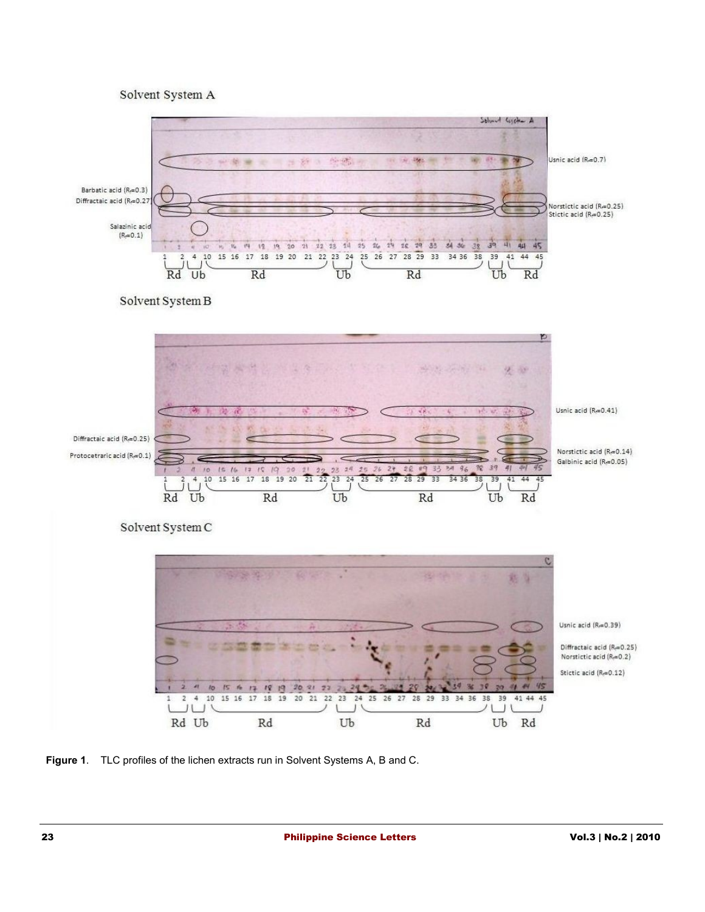## Solvent System A



**Figure 1**. TLC profiles of the lichen extracts run in Solvent Systems A, B and C.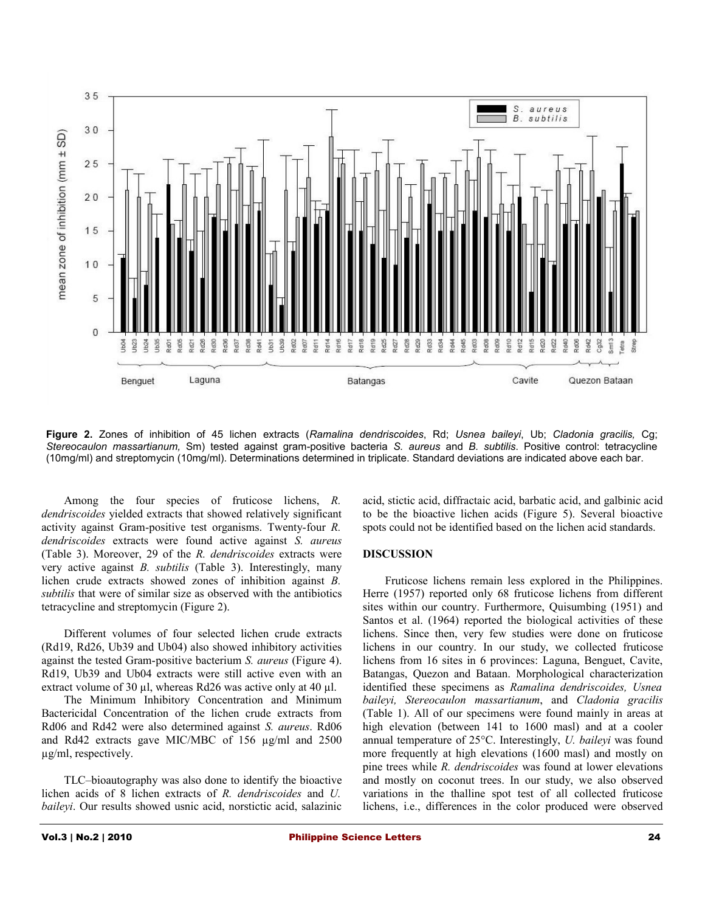

**Figure 2.** Zones of inhibition of 45 lichen extracts (*Ramalina dendriscoides*, Rd; *Usnea baileyi*, Ub; *Cladonia gracilis,* Cg; *Stereocaulon massartianum,* Sm) tested against gram-positive bacteria *S. aureus* and *B. subtilis*. Positive control: tetracycline (10mg/ml) and streptomycin (10mg/ml). Determinations determined in triplicate. Standard deviations are indicated above each bar.

Among the four species of fruticose lichens, *R. dendriscoides* yielded extracts that showed relatively significant activity against Gram-positive test organisms. Twenty-four *R. dendriscoides* extracts were found active against *S. aureus* (Table 3). Moreover, 29 of the *R. dendriscoides* extracts were very active against *B. subtilis* (Table 3). Interestingly, many lichen crude extracts showed zones of inhibition against *B. subtilis* that were of similar size as observed with the antibiotics tetracycline and streptomycin (Figure 2).

Different volumes of four selected lichen crude extracts (Rd19, Rd26, Ub39 and Ub04) also showed inhibitory activities against the tested Gram-positive bacterium *S. aureus* (Figure 4). Rd19, Ub39 and Ub04 extracts were still active even with an extract volume of 30 µl, whereas Rd26 was active only at 40 µl.

The Minimum Inhibitory Concentration and Minimum Bactericidal Concentration of the lichen crude extracts from Rd06 and Rd42 were also determined against *S. aureus*. Rd06 and Rd42 extracts gave MIC/MBC of 156 µg/ml and 2500 µg/ml, respectively.

TLC–bioautography was also done to identify the bioactive lichen acids of 8 lichen extracts of *R. dendriscoides* and *U. baileyi*. Our results showed usnic acid, norstictic acid, salazinic acid, stictic acid, diffractaic acid, barbatic acid, and galbinic acid to be the bioactive lichen acids (Figure 5). Several bioactive spots could not be identified based on the lichen acid standards.

#### **DISCUSSION**

Fruticose lichens remain less explored in the Philippines. Herre (1957) reported only 68 fruticose lichens from different sites within our country. Furthermore, Quisumbing (1951) and Santos et al. (1964) reported the biological activities of these lichens. Since then, very few studies were done on fruticose lichens in our country. In our study, we collected fruticose lichens from 16 sites in 6 provinces: Laguna, Benguet, Cavite, Batangas, Quezon and Bataan. Morphological characterization identified these specimens as *Ramalina dendriscoides, Usnea baileyi, Stereocaulon massartianum*, and *Cladonia gracilis* (Table 1). All of our specimens were found mainly in areas at high elevation (between 141 to 1600 masl) and at a cooler annual temperature of 25°C. Interestingly, *U. baileyi* was found more frequently at high elevations (1600 masl) and mostly on pine trees while *R. dendriscoides* was found at lower elevations and mostly on coconut trees. In our study, we also observed variations in the thalline spot test of all collected fruticose lichens, i.e., differences in the color produced were observed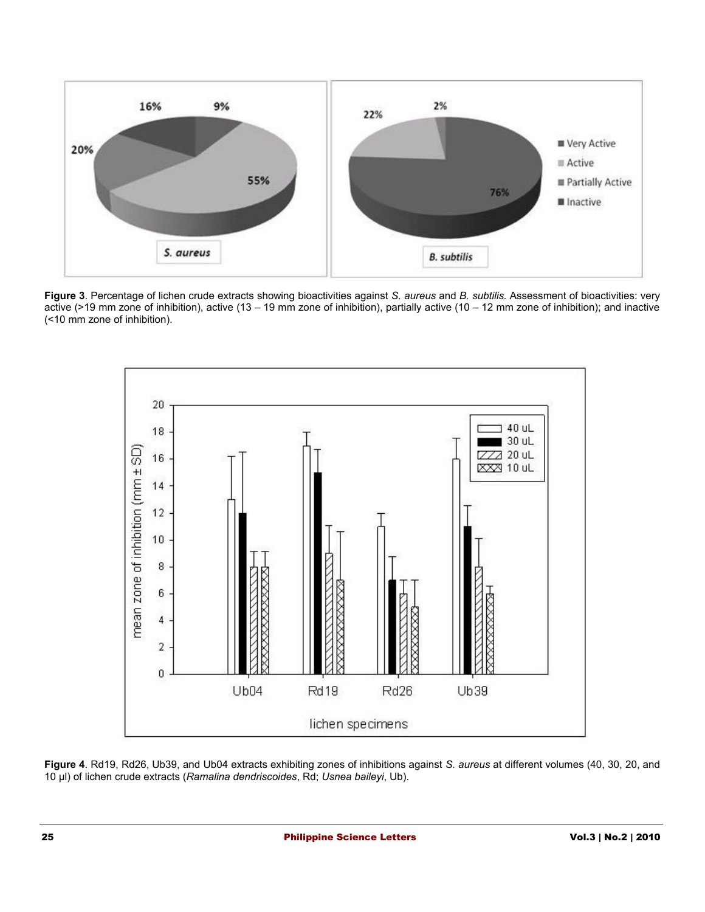

**Figure 3**. Percentage of lichen crude extracts showing bioactivities against *S. aureus* and *B. subtilis.* Assessment of bioactivities: very active (>19 mm zone of inhibition), active (13 – 19 mm zone of inhibition), partially active (10 – 12 mm zone of inhibition); and inactive (<10 mm zone of inhibition).



**Figure 4**. Rd19, Rd26, Ub39, and Ub04 extracts exhibiting zones of inhibitions against *S. aureus* at different volumes (40, 30, 20, and 10 µl) of lichen crude extracts (*Ramalina dendriscoides*, Rd; *Usnea baileyi*, Ub).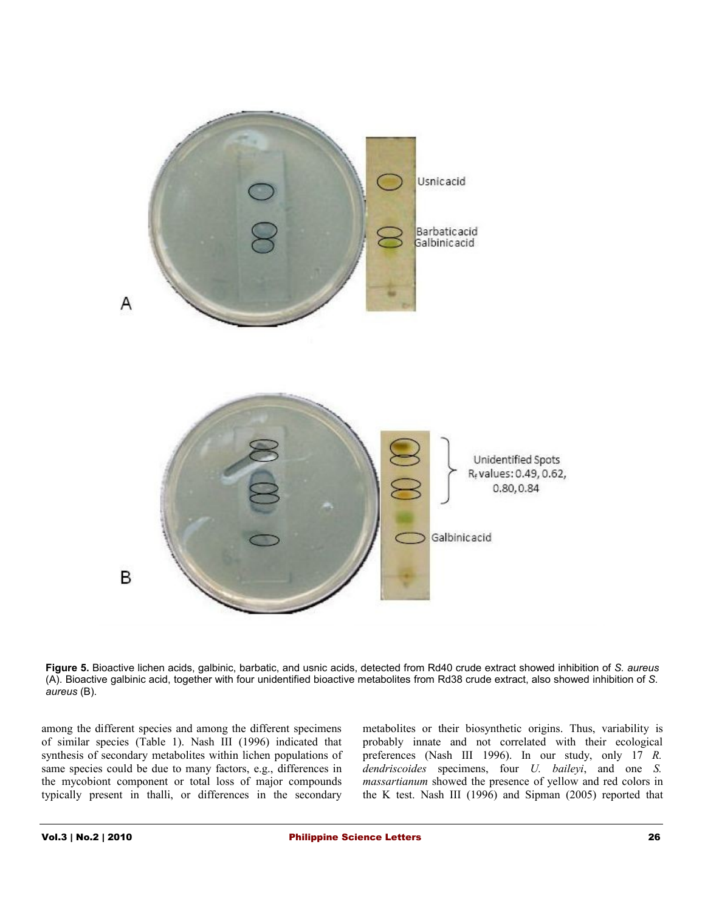

**Figure 5.** Bioactive lichen acids, galbinic, barbatic, and usnic acids, detected from Rd40 crude extract showed inhibition of *S. aureus* (A). Bioactive galbinic acid, together with four unidentified bioactive metabolites from Rd38 crude extract, also showed inhibition of *S. aureus* (B).

among the different species and among the different specimens of similar species (Table 1). Nash III (1996) indicated that synthesis of secondary metabolites within lichen populations of same species could be due to many factors, e.g., differences in the mycobiont component or total loss of major compounds typically present in thalli, or differences in the secondary

metabolites or their biosynthetic origins. Thus, variability is probably innate and not correlated with their ecological preferences (Nash III 1996). In our study, only 17 *R. dendriscoides* specimens, four *U. baileyi*, and one *S. massartianum* showed the presence of yellow and red colors in the K test. Nash III (1996) and Sipman (2005) reported that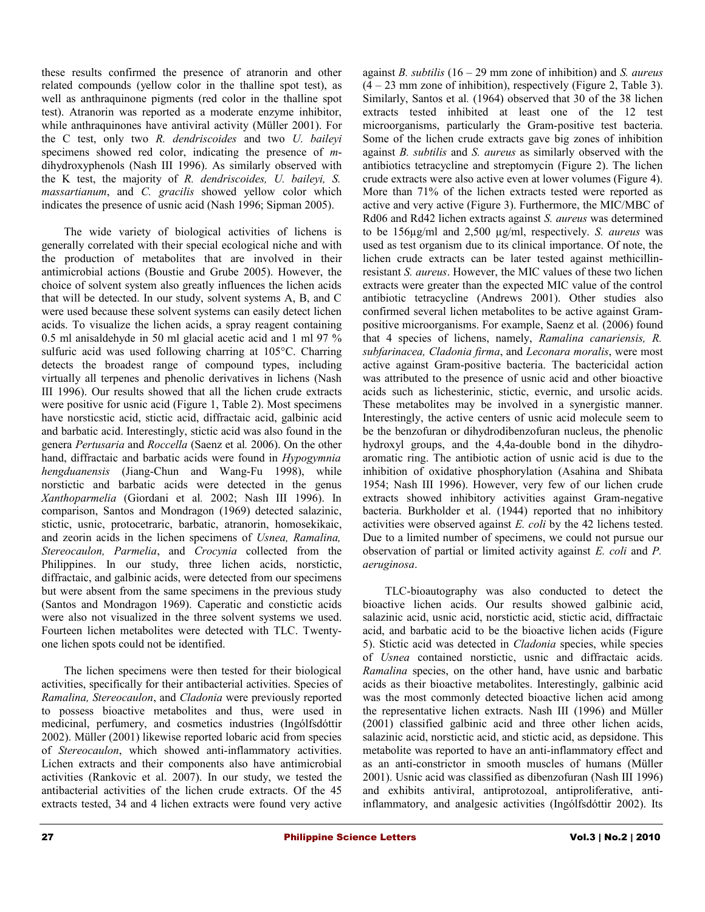these results confirmed the presence of atranorin and other related compounds (yellow color in the thalline spot test), as well as anthraquinone pigments (red color in the thalline spot test). Atranorin was reported as a moderate enzyme inhibitor, while anthraquinones have antiviral activity (Müller 2001). For the C test, only two *R. dendriscoides* and two *U. baileyi* specimens showed red color, indicating the presence of *m*dihydroxyphenols (Nash III 1996). As similarly observed with the K test, the majority of *R. dendriscoides, U. baileyi, S. massartianum*, and *C. gracilis* showed yellow color which indicates the presence of usnic acid (Nash 1996; Sipman 2005).

The wide variety of biological activities of lichens is generally correlated with their special ecological niche and with the production of metabolites that are involved in their antimicrobial actions (Boustie and Grube 2005). However, the choice of solvent system also greatly influences the lichen acids that will be detected. In our study, solvent systems A, B, and C were used because these solvent systems can easily detect lichen acids. To visualize the lichen acids, a spray reagent containing 0.5 ml anisaldehyde in 50 ml glacial acetic acid and 1 ml 97 % sulfuric acid was used following charring at 105°C. Charring detects the broadest range of compound types, including virtually all terpenes and phenolic derivatives in lichens (Nash III 1996). Our results showed that all the lichen crude extracts were positive for usnic acid (Figure 1, Table 2). Most specimens have norsticstic acid, stictic acid, diffractaic acid, galbinic acid and barbatic acid. Interestingly, stictic acid was also found in the genera *Pertusaria* and *Roccella* (Saenz et al*.* 2006). On the other hand, diffractaic and barbatic acids were found in *Hypogymnia hengduanensis* (Jiang-Chun and Wang-Fu 1998), while norstictic and barbatic acids were detected in the genus *Xanthoparmelia* (Giordani et al*.* 2002; Nash III 1996). In comparison, Santos and Mondragon (1969) detected salazinic, stictic, usnic, protocetraric, barbatic, atranorin, homosekikaic, and zeorin acids in the lichen specimens of *Usnea, Ramalina, Stereocaulon, Parmelia*, and *Crocynia* collected from the Philippines. In our study, three lichen acids, norstictic, diffractaic, and galbinic acids, were detected from our specimens but were absent from the same specimens in the previous study (Santos and Mondragon 1969). Caperatic and constictic acids were also not visualized in the three solvent systems we used. Fourteen lichen metabolites were detected with TLC. Twentyone lichen spots could not be identified.

The lichen specimens were then tested for their biological activities, specifically for their antibacterial activities. Species of *Ramalina, Stereocaulon*, and *Cladonia* were previously reported to possess bioactive metabolites and thus, were used in medicinal, perfumery, and cosmetics industries (Ingólfsdóttir 2002). Müller (2001) likewise reported lobaric acid from species of *Stereocaulon*, which showed anti-inflammatory activities. Lichen extracts and their components also have antimicrobial activities (Rankovic et al. 2007). In our study, we tested the antibacterial activities of the lichen crude extracts. Of the 45 extracts tested, 34 and 4 lichen extracts were found very active

against *B. subtilis* (16 – 29 mm zone of inhibition) and *S. aureus* (4 – 23 mm zone of inhibition), respectively (Figure 2, Table 3). Similarly, Santos et al*.* (1964) observed that 30 of the 38 lichen extracts tested inhibited at least one of the 12 test microorganisms, particularly the Gram-positive test bacteria. Some of the lichen crude extracts gave big zones of inhibition against *B. subtilis* and *S. aureus* as similarly observed with the antibiotics tetracycline and streptomycin (Figure 2). The lichen crude extracts were also active even at lower volumes (Figure 4). More than 71% of the lichen extracts tested were reported as active and very active (Figure 3). Furthermore, the MIC/MBC of Rd06 and Rd42 lichen extracts against *S. aureus* was determined to be 156µg/ml and 2,500 µg/ml, respectively. *S. aureus* was used as test organism due to its clinical importance. Of note, the lichen crude extracts can be later tested against methicillinresistant *S. aureus*. However, the MIC values of these two lichen extracts were greater than the expected MIC value of the control antibiotic tetracycline (Andrews 2001). Other studies also confirmed several lichen metabolites to be active against Grampositive microorganisms. For example, Saenz et al*.* (2006) found that 4 species of lichens, namely, *Ramalina canariensis, R. subfarinacea, Cladonia firma*, and *Leconara moralis*, were most active against Gram-positive bacteria. The bactericidal action was attributed to the presence of usnic acid and other bioactive acids such as lichesterinic, stictic, evernic, and ursolic acids. These metabolites may be involved in a synergistic manner. Interestingly, the active centers of usnic acid molecule seem to be the benzofuran or dihydrodibenzofuran nucleus, the phenolic hydroxyl groups, and the 4,4a-double bond in the dihydroaromatic ring. The antibiotic action of usnic acid is due to the inhibition of oxidative phosphorylation (Asahina and Shibata 1954; Nash III 1996). However, very few of our lichen crude extracts showed inhibitory activities against Gram-negative bacteria. Burkholder et al. (1944) reported that no inhibitory activities were observed against *E. coli* by the 42 lichens tested. Due to a limited number of specimens, we could not pursue our observation of partial or limited activity against *E. coli* and *P. aeruginosa*.

TLC-bioautography was also conducted to detect the bioactive lichen acids. Our results showed galbinic acid, salazinic acid, usnic acid, norstictic acid, stictic acid, diffractaic acid, and barbatic acid to be the bioactive lichen acids (Figure 5). Stictic acid was detected in *Cladonia* species, while species of *Usnea* contained norstictic, usnic and diffractaic acids. *Ramalina* species, on the other hand, have usnic and barbatic acids as their bioactive metabolites. Interestingly, galbinic acid was the most commonly detected bioactive lichen acid among the representative lichen extracts. Nash III (1996) and Müller (2001) classified galbinic acid and three other lichen acids, salazinic acid, norstictic acid, and stictic acid, as depsidone. This metabolite was reported to have an anti-inflammatory effect and as an anti-constrictor in smooth muscles of humans (Müller 2001). Usnic acid was classified as dibenzofuran (Nash III 1996) and exhibits antiviral, antiprotozoal, antiproliferative, antiinflammatory, and analgesic activities (Ingólfsdóttir 2002). Its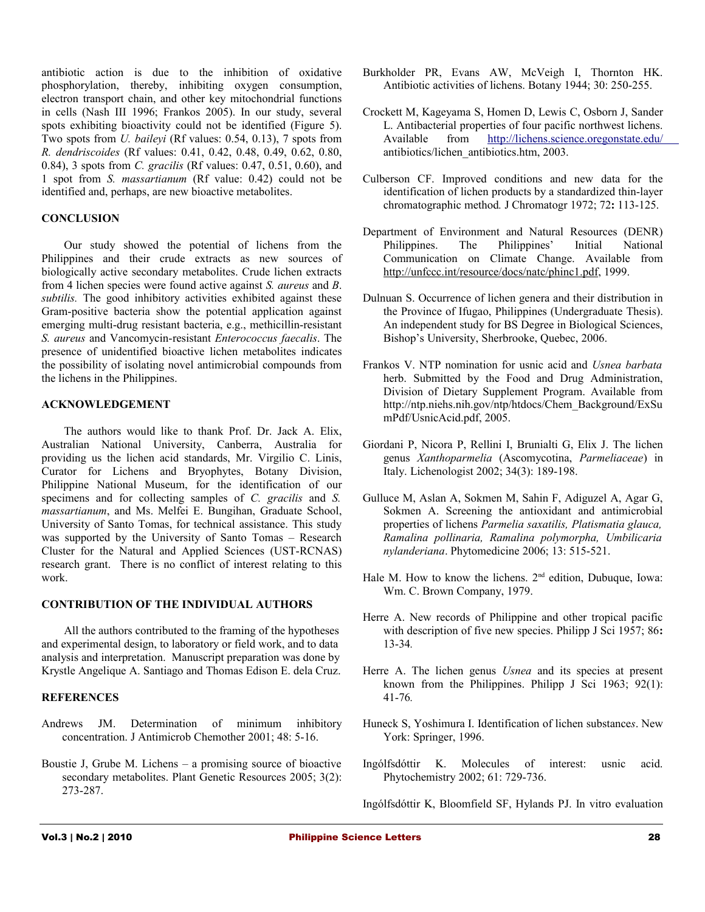antibiotic action is due to the inhibition of oxidative phosphorylation, thereby, inhibiting oxygen consumption, electron transport chain, and other key mitochondrial functions in cells (Nash III 1996; Frankos 2005). In our study, several spots exhibiting bioactivity could not be identified (Figure 5). Two spots from *U. baileyi* (Rf values: 0.54, 0.13), 7 spots from *R. dendriscoides* (Rf values: 0.41, 0.42, 0.48, 0.49, 0.62, 0.80, 0.84), 3 spots from *C. gracilis* (Rf values: 0.47, 0.51, 0.60), and 1 spot from *S. massartianum* (Rf value: 0.42) could not be identified and, perhaps, are new bioactive metabolites.

## **CONCLUSION**

Our study showed the potential of lichens from the Philippines and their crude extracts as new sources of biologically active secondary metabolites. Crude lichen extracts from 4 lichen species were found active against *S. aureus* and *B*. *subtilis.* The good inhibitory activities exhibited against these Gram-positive bacteria show the potential application against emerging multi-drug resistant bacteria, e.g., methicillin-resistant *S. aureus* and Vancomycin-resistant *Enterococcus faecalis*. The presence of unidentified bioactive lichen metabolites indicates the possibility of isolating novel antimicrobial compounds from the lichens in the Philippines.

#### **ACKNOWLEDGEMENT**

The authors would like to thank Prof. Dr. Jack A. Elix, Australian National University, Canberra, Australia for providing us the lichen acid standards, Mr. Virgilio C. Linis, Curator for Lichens and Bryophytes, Botany Division, Philippine National Museum, for the identification of our specimens and for collecting samples of *C. gracilis* and *S. massartianum*, and Ms. Melfei E. Bungihan, Graduate School, University of Santo Tomas, for technical assistance. This study was supported by the University of Santo Tomas – Research Cluster for the Natural and Applied Sciences (UST-RCNAS) research grant. There is no conflict of interest relating to this work.

## **CONTRIBUTION OF THE INDIVIDUAL AUTHORS**

All the authors contributed to the framing of the hypotheses and experimental design, to laboratory or field work, and to data analysis and interpretation. Manuscript preparation was done by Krystle Angelique A. Santiago and Thomas Edison E. dela Cruz.

# **REFERENCES**

- Andrews JM. Determination of minimum inhibitory concentration. J Antimicrob Chemother 2001; 48: 5-16.
- Boustie J, Grube M. Lichens a promising source of bioactive secondary metabolites. Plant Genetic Resources 2005; 3(2): 273-287.
- Burkholder PR, Evans AW, McVeigh I, Thornton HK. Antibiotic activities of lichens. Botany 1944; 30: 250-255.
- Crockett M, Kageyama S, Homen D, Lewis C, Osborn J, Sander L. Antibacterial properties of four pacific northwest lichens. Available from<http://lichens.science.oregonstate.edu/> antibiotics/lichen\_antibiotics.htm, 2003.
- Culberson CF. Improved conditions and new data for the identification of lichen products by a standardized thin-layer chromatographic method*.* J Chromatogr 1972; 72**:** 113-125.
- Department of Environment and Natural Resources (DENR) Philippines. The Philippines' Initial National Communication on Climate Change. Available from [http://unfccc.int/resource/docs/natc/phinc1.pdf,](http://unfccc.int/resource/docs/natc/phinc1.pdf) 1999.
- Dulnuan S. Occurrence of lichen genera and their distribution in the Province of Ifugao, Philippines (Undergraduate Thesis). An independent study for BS Degree in Biological Sciences, Bishop's University, Sherbrooke, Quebec, 2006.
- Frankos V. NTP nomination for usnic acid and *Usnea barbata* herb. Submitted by the Food and Drug Administration, Division of Dietary Supplement Program. Available from http://ntp.niehs.nih.gov/ntp/htdocs/Chem\_Background/ExSu mPdf/UsnicAcid.pdf, 2005.
- Giordani P, Nicora P, Rellini I, Brunialti G, Elix J. The lichen genus *Xanthoparmelia* (Ascomycotina, *Parmeliaceae*) in Italy. Lichenologist 2002; 34(3): 189-198.
- Gulluce M, Aslan A, Sokmen M, Sahin F, Adiguzel A, Agar G, Sokmen A. Screening the antioxidant and antimicrobial properties of lichens *Parmelia saxatilis, Platismatia glauca, Ramalina pollinaria, Ramalina polymorpha, Umbilicaria nylanderiana*. Phytomedicine 2006; 13: 515-521.
- Hale M. How to know the lichens.  $2<sup>nd</sup>$  edition, Dubuque, Iowa: Wm. C. Brown Company, 1979.
- Herre A. New records of Philippine and other tropical pacific with description of five new species. Philipp J Sci 1957; 86**:** 13-34*.*
- Herre A. The lichen genus *Usnea* and its species at present known from the Philippines. Philipp J Sci 1963; 92(1): 41-76*.*
- Huneck S, Yoshimura I. Identification of lichen substance*s*. New York: Springer, 1996.
- Ingólfsdóttir K. Molecules of interest: usnic acid. Phytochemistry 2002; 61: 729-736.
- Ingólfsdóttir K, Bloomfield SF, Hylands PJ. In vitro evaluation